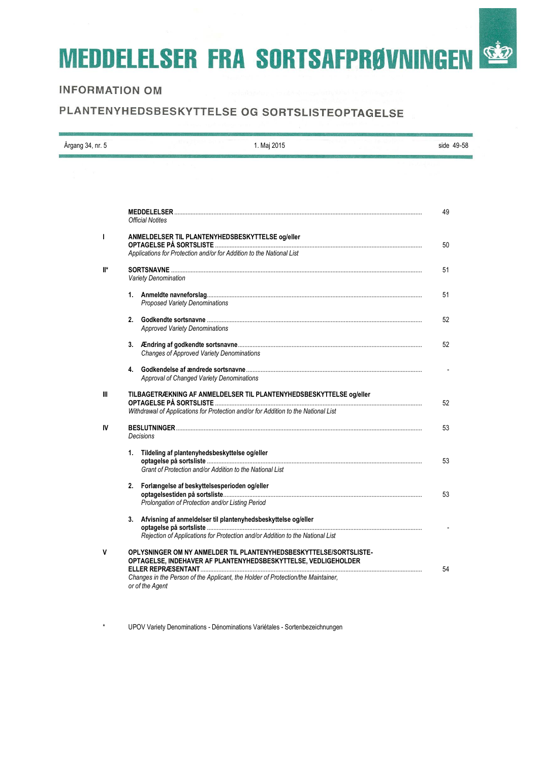# **MEDDELELSER FRA SORTSAFPRØVNINGEN SEP**

# **INFORMATION OM**

# PLANTENYHEDSBESKYTTELSE OG SORTSLISTEOPTAGELSE

| Årgang 34, nr. 5 | 1. Maj 2015                                                                                                                                                                                                                                 | side 49-58 |
|------------------|---------------------------------------------------------------------------------------------------------------------------------------------------------------------------------------------------------------------------------------------|------------|
|                  |                                                                                                                                                                                                                                             |            |
|                  | <b>Official Notites</b>                                                                                                                                                                                                                     | 49         |
| I                | ANMELDELSER TIL PLANTENYHEDSBESKYTTELSE og/eller<br>Applications for Protection and/or for Addition to the National List                                                                                                                    | 50         |
| $\mathbb{I}^*$   | <b>SORTSNAVNE</b><br><b>Variety Denomination</b>                                                                                                                                                                                            | 51         |
|                  | <b>Proposed Variety Denominations</b>                                                                                                                                                                                                       | 51         |
|                  | <b>Approved Variety Denominations</b>                                                                                                                                                                                                       | 52         |
|                  | <b>Changes of Approved Variety Denominations</b>                                                                                                                                                                                            | 52         |
|                  | <b>Approval of Changed Variety Denominations</b>                                                                                                                                                                                            |            |
| $\mathbf{III}$   | TILBAGETRÆKNING AF ANMELDELSER TIL PLANTENYHEDSBESKYTTELSE og/eller<br>Withdrawal of Applications for Protection and/or for Addition to the National List                                                                                   | 52         |
| IV               | <b>BESLUTNINGER</b><br><b>Decisions</b>                                                                                                                                                                                                     | 53         |
|                  | 1. Tildeling af plantenyhedsbeskyttelse og/eller<br>Grant of Protection and/or Addition to the National List                                                                                                                                | 53         |
|                  | 2. Forlængelse af beskyttelsesperioden og/eller<br>Prolongation of Protection and/or Listing Period                                                                                                                                         | 53         |
|                  | 3. Afvisning af anmeldelser til plantenyhedsbeskyttelse og/eller<br>Rejection of Applications for Protection and/or Addition to the National List                                                                                           |            |
| v                | OPLYSNINGER OM NY ANMELDER TIL PLANTENYHEDSBESKYTTELSE/SORTSLISTE-<br>OPTAGELSE, INDEHAVER AF PLANTENYHEDSBESKYTTELSE, VEDLIGEHOLDER<br>Changes in the Person of the Applicant, the Holder of Protection/the Maintainer,<br>or of the Agent | 54         |

\* UPOV Variety Denominations - Dénominations Variétales - Sortenbezeichnungen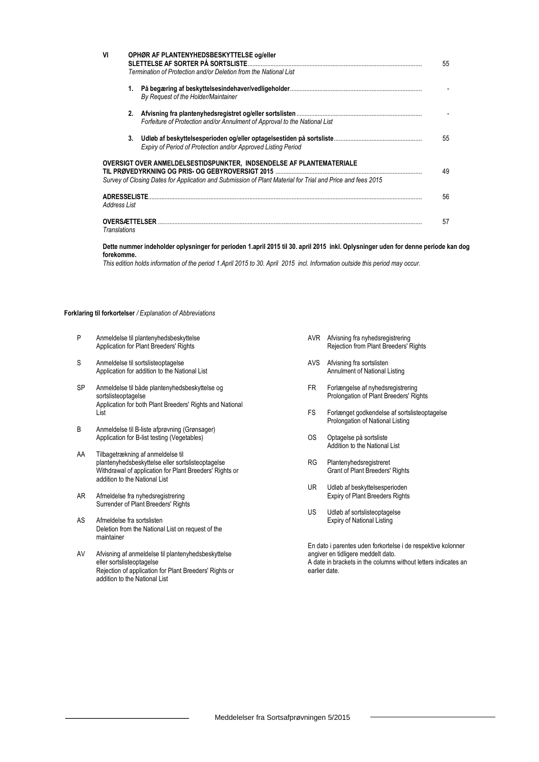| VI                                          |    | OPHØR AF PLANTENYHEDSBESKYTTELSE og/eller<br>SLETTELSE AF SORTER PÅ SORTSLISTE.<br>Termination of Protection and/or Deletion from the National List                                | 55 |
|---------------------------------------------|----|------------------------------------------------------------------------------------------------------------------------------------------------------------------------------------|----|
|                                             | 1. | By Request of the Holder/Maintainer                                                                                                                                                |    |
|                                             | 2. | Forfeiture of Protection and/or Annulment of Approval to the National List                                                                                                         |    |
|                                             | 3. | Expiry of Period of Protection and/or Approved Listing Period                                                                                                                      | 55 |
|                                             |    | OVERSIGT OVER ANMELDELSESTIDSPUNKTER. INDSENDELSE AF PLANTEMATERIALE<br>Survey of Closing Dates for Application and Submission of Plant Material for Trial and Price and fees 2015 | 49 |
| <b>ADRESSELISTE</b><br>Address List         |    |                                                                                                                                                                                    | 56 |
| <b>OVERSÆTTELSER</b><br><b>Translations</b> |    |                                                                                                                                                                                    | 57 |

#### **Dette nummer indeholder oplysninger for perioden 1.april 2015 til 30. april 2015 inkl. Oplysninger uden for denne periode kan dog forekomme.**

*This edition holds information of the period 1.April 2015 to 30. April 2015 incl. Information outside this period may occur.*

#### **Forklaring til forkortelser** */ Explanation of Abbreviations*

- P Anmeldelse til plantenyhedsbeskyttelse Application for Plant Breeders' Rights
- S Anmeldelse til sortslisteoptagelse Application for addition to the National List
- SP Anmeldelse til både plantenyhedsbeskyttelse og sortslisteoptagelse Application for both Plant Breeders' Rights and National List
- B Anmeldelse til B-liste afprøvning (Grønsager) Application for B-list testing (Vegetables)
- AA Tilbagetrækning af anmeldelse til plantenyhedsbeskyttelse eller sortslisteoptagelse Withdrawal of application for Plant Breeders' Rights or addition to the National List
- AR Afmeldelse fra nyhedsregistrering Surrender of Plant Breeders' Rights
- AS Afmeldelse fra sortslisten Deletion from the National List on request of the maintainer
- AV Afvisning af anmeldelse til plantenyhedsbeskyttelse eller sortslisteoptagelse Rejection of application for Plant Breeders' Rights or addition to the National List
- AVR Afvisning fra nyhedsregistrering Rejection from Plant Breeders' Rights
- AVS Afvisning fra sortslisten Annulment of National Listing
- FR Forlængelse af nyhedsregistrering Prolongation of Plant Breeders' Rights
- FS Forlænget godkendelse af sortslisteoptagelse Prolongation of National Listing
- OS Optagelse på sortsliste Addition to the National List
- RG Plantenyhedsregistreret Grant of Plant Breeders' Rights
- UR Udløb af beskyttelsesperioden Expiry of Plant Breeders Rights
- US Udløb af sortslisteoptagelse Expiry of National Listing

En dato i parentes uden forkortelse i de respektive kolonner angiver en tidligere meddelt dato. A date in brackets in the columns without letters indicates an earlier date.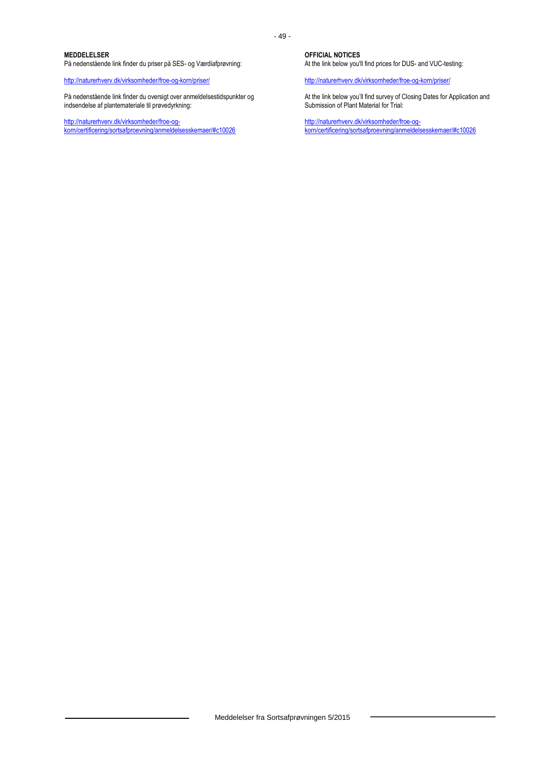#### **MEDDELELSER**

På nedenstående link finder du priser på SES- og Værdiafprøvning:

<http://naturerhverv.dk/virksomheder/froe-og-korn/priser/>

På nedenstående link finder du oversigt over anmeldelsestidspunkter og indsendelse af plantemateriale til prøvedyrkning:

[http://naturerhverv.dk/virksomheder/froe-og](http://naturerhverv.dk/virksomheder/froe-og-korn/certificering/sortsafproevning/anmeldelsesskemaer/#c10026)[korn/certificering/sortsafproevning/anmeldelsesskemaer/#c10026](http://naturerhverv.dk/virksomheder/froe-og-korn/certificering/sortsafproevning/anmeldelsesskemaer/#c10026) **OFFICIAL NOTICES**

At the link below you'll find prices for DUS- and VUC-testing:

<http://naturerhverv.dk/virksomheder/froe-og-korn/priser/>

At the link below you'll find survey of Closing Dates for Application and Submission of Plant Material for Trial:

[http://naturerhverv.dk/virksomheder/froe-og](http://naturerhverv.dk/virksomheder/froe-og-korn/certificering/sortsafproevning/anmeldelsesskemaer/%23c10026)[korn/certificering/sortsafproevning/anmeldelsesskemaer/#c10026](http://naturerhverv.dk/virksomheder/froe-og-korn/certificering/sortsafproevning/anmeldelsesskemaer/%23c10026)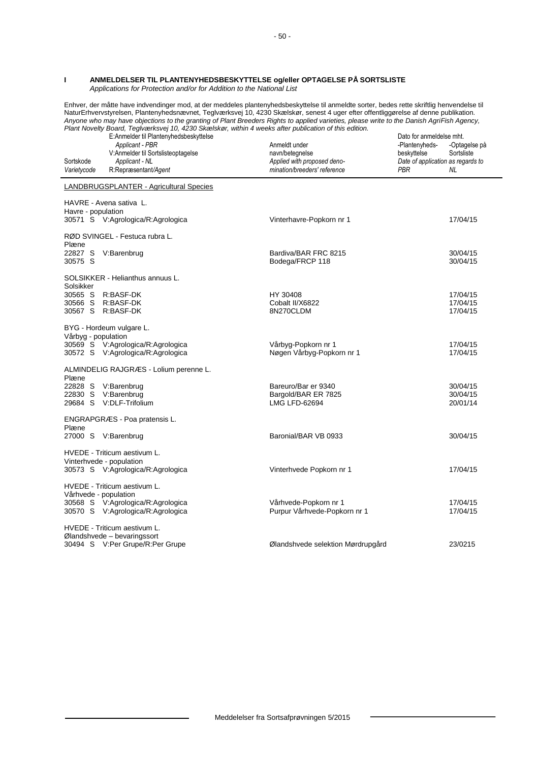#### **I ANMELDELSER TIL PLANTENYHEDSBESKYTTELSE og/eller OPTAGELSE PÅ SORTSLISTE** *Applications for Protection and/or for Addition to the National List*

Enhver, der måtte have indvendinger mod, at der meddeles plantenyhedsbeskyttelse til anmeldte sorter, bedes rette skriftlig henvendelse til NaturErhvervstyrelsen, Plantenyhedsnævnet, Teglværksvej 10, 4230 Skælskør, senest 4 uger efter offentliggørelse af denne publikation. *Anyone who may have objections to the granting of Plant Breeders Rights to applied varieties, please write to the Danish AgriFish Agency, Plant Novelty Board, Teglværksvej 10, 4230 Skælskør, within 4 weeks after publication of this edition.*

| Sortskode<br>Varietycode                          | $\mu$ rain revent Doard, regives novel to, $\pi$ to onesiste), which $\pi$ weeks and pablicator of this calibration.<br>E:Anmelder til Plantenyhedsbeskyttelse<br>Applicant - PBR<br>V:Anmelder til Sortslisteoptagelse<br>Applicant - NL<br>R:Repræsentant/Agent | Anmeldt under<br>navn/betegnelse<br>Applied with proposed deno-<br>mination/breeders' reference | Dato for anmeldelse mht.<br>-Plantenyheds-<br>-Optagelse på<br>Sortsliste<br>beskyttelse<br>Date of application as regards to<br>PBR<br>NL |
|---------------------------------------------------|-------------------------------------------------------------------------------------------------------------------------------------------------------------------------------------------------------------------------------------------------------------------|-------------------------------------------------------------------------------------------------|--------------------------------------------------------------------------------------------------------------------------------------------|
|                                                   | LANDBRUGSPLANTER - Agricultural Species                                                                                                                                                                                                                           |                                                                                                 |                                                                                                                                            |
| Havre - population                                | HAVRE - Avena sativa L.<br>30571 S V:Agrologica/R:Agrologica                                                                                                                                                                                                      | Vinterhavre-Popkorn nr 1                                                                        | 17/04/15                                                                                                                                   |
| Plæne<br>30575 S                                  | RØD SVINGEL - Festuca rubra L.<br>22827 S V:Barenbrug                                                                                                                                                                                                             | Bardiva/BAR FRC 8215<br>Bodega/FRCP 118                                                         | 30/04/15<br>30/04/15                                                                                                                       |
| Solsikker                                         | SOLSIKKER - Helianthus annuus L.                                                                                                                                                                                                                                  |                                                                                                 |                                                                                                                                            |
| 30565 S<br>30566 S R:BASF-DK<br>30567 S R:BASF-DK | R:BASF-DK                                                                                                                                                                                                                                                         | HY 30408<br>Cobalt II/X6822<br>8N270CLDM                                                        | 17/04/15<br>17/04/15<br>17/04/15                                                                                                           |
| Vårbyg - population                               | BYG - Hordeum vulgare L.<br>30569 S V:Agrologica/R:Agrologica                                                                                                                                                                                                     | Vårbyg-Popkorn nr 1                                                                             | 17/04/15                                                                                                                                   |
|                                                   | 30572 S V:Agrologica/R:Agrologica                                                                                                                                                                                                                                 | Nøgen Vårbyg-Popkorn nr 1                                                                       | 17/04/15                                                                                                                                   |
| Plæne                                             | ALMINDELIG RAJGRÆS - Lolium perenne L.                                                                                                                                                                                                                            |                                                                                                 |                                                                                                                                            |
|                                                   | 22828 S V:Barenbrug<br>22830 S V:Barenbrug<br>29684 S V:DLF-Trifolium                                                                                                                                                                                             | Bareuro/Bar er 9340<br>Bargold/BAR ER 7825<br>LMG LFD-62694                                     | 30/04/15<br>30/04/15<br>20/01/14                                                                                                           |
| Plæne                                             | ENGRAPGRÆS - Poa pratensis L.                                                                                                                                                                                                                                     |                                                                                                 |                                                                                                                                            |
|                                                   | 27000 S V:Barenbrug                                                                                                                                                                                                                                               | Baronial/BAR VB 0933                                                                            | 30/04/15                                                                                                                                   |
| Vinterhvede - population                          | HVEDE - Triticum aestivum L.<br>30573 S V:Agrologica/R:Agrologica                                                                                                                                                                                                 | Vinterhvede Popkorn nr 1                                                                        | 17/04/15                                                                                                                                   |
| Vårhvede - population                             | HVEDE - Triticum aestivum L.                                                                                                                                                                                                                                      |                                                                                                 |                                                                                                                                            |
|                                                   | 30568 S V:Agrologica/R:Agrologica<br>30570 S V:Agrologica/R:Agrologica                                                                                                                                                                                            | Vårhvede-Popkorn nr 1<br>Purpur Vårhvede-Popkorn nr 1                                           | 17/04/15<br>17/04/15                                                                                                                       |
|                                                   | HVEDE - Triticum aestivum L.<br>Ølandshvede – bevaringssort                                                                                                                                                                                                       |                                                                                                 |                                                                                                                                            |
|                                                   | 30494 S V:Per Grupe/R:Per Grupe                                                                                                                                                                                                                                   | Ølandshvede selektion Mørdrupgård                                                               | 23/0215                                                                                                                                    |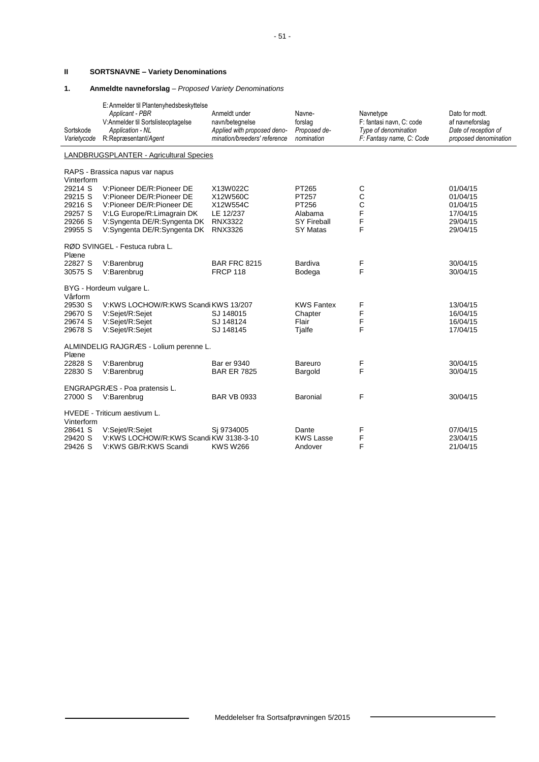# **II SORTSNAVNE – Variety Denominations**

### **1. Anmeldte navneforslag** – *Proposed Variety Denominations*

| Sortskode<br>Varietycode                                       | E: Anmelder til Plantenyhedsbeskyttelse<br>Applicant - PBR<br>V:Anmelder til Sortslisteoptagelse<br>Application - NL<br>R:Repræsentant/Agent                                    | Anmeldt under<br>navn/betegnelse<br>Applied with proposed deno-<br>mination/breeders' reference | Navne-<br>forslag<br>Proposed de-<br>nomination                      | Navnetype<br>F: fantasi navn, C: code<br>Type of denomination<br>F: Fantasy name, C: Code | Dato for modt.<br>af navneforslag<br>Date of reception of<br>proposed denomination |
|----------------------------------------------------------------|---------------------------------------------------------------------------------------------------------------------------------------------------------------------------------|-------------------------------------------------------------------------------------------------|----------------------------------------------------------------------|-------------------------------------------------------------------------------------------|------------------------------------------------------------------------------------|
|                                                                | LANDBRUGSPLANTER - Agricultural Species                                                                                                                                         |                                                                                                 |                                                                      |                                                                                           |                                                                                    |
| Vinterform                                                     | RAPS - Brassica napus var napus                                                                                                                                                 |                                                                                                 |                                                                      |                                                                                           |                                                                                    |
| 29214 S<br>29215 S<br>29216 S<br>29257 S<br>29266 S<br>29955 S | V:Pioneer DE/R:Pioneer DE<br>V:Pioneer DE/R:Pioneer DE<br>V:Pioneer DE/R:Pioneer DE<br>V:LG Europe/R:Limagrain DK<br>V:Syngenta DE/R:Syngenta DK<br>V:Syngenta DE/R:Syngenta DK | X13W022C<br>X12W560C<br>X12W554C<br>LE 12/237<br><b>RNX3322</b><br><b>RNX3326</b>               | PT265<br>PT257<br>PT256<br>Alabama<br><b>SY Fireball</b><br>SY Matas | С<br>C<br>C<br>F<br>F<br>F                                                                | 01/04/15<br>01/04/15<br>01/04/15<br>17/04/15<br>29/04/15<br>29/04/15               |
| Plæne                                                          | RØD SVINGEL - Festuca rubra L.                                                                                                                                                  |                                                                                                 |                                                                      |                                                                                           |                                                                                    |
| 22827 S<br>30575 S                                             | V:Barenbrug<br>V:Barenbrug                                                                                                                                                      | <b>BAR FRC 8215</b><br><b>FRCP 118</b>                                                          | Bardiva<br>Bodega                                                    | F<br>F                                                                                    | 30/04/15<br>30/04/15                                                               |
| Vårform                                                        | BYG - Hordeum vulgare L.                                                                                                                                                        |                                                                                                 |                                                                      |                                                                                           |                                                                                    |
| 29530 S<br>29670 S<br>29674 S<br>29678 S                       | V:KWS LOCHOW/R:KWS Scandi KWS 13/207<br>V:Sejet/R:Sejet<br>V:Sejet/R:Sejet<br>V:Sejet/R:Sejet                                                                                   | SJ 148015<br>SJ 148124<br>SJ 148145                                                             | <b>KWS Fantex</b><br>Chapter<br>Flair<br>Tjalfe                      | F<br>F<br>F<br>F                                                                          | 13/04/15<br>16/04/15<br>16/04/15<br>17/04/15                                       |
| Plæne                                                          | ALMINDELIG RAJGRÆS - Lolium perenne L.                                                                                                                                          |                                                                                                 |                                                                      |                                                                                           |                                                                                    |
| 22828 S<br>22830 S                                             | V:Barenbrug<br>V:Barenbrug                                                                                                                                                      | <b>Bar er 9340</b><br><b>BAR ER 7825</b>                                                        | Bareuro<br>Bargold                                                   | F<br>F                                                                                    | 30/04/15<br>30/04/15                                                               |
| 27000 S                                                        | ENGRAPGRÆS - Poa pratensis L.<br>V:Barenbrug                                                                                                                                    | <b>BAR VB 0933</b>                                                                              | Baronial                                                             | F                                                                                         | 30/04/15                                                                           |
| Vinterform                                                     | HVEDE - Triticum aestivum L.                                                                                                                                                    |                                                                                                 |                                                                      |                                                                                           |                                                                                    |
| 28641 S<br>29420 S<br>29426 S                                  | V:Sejet/R:Sejet<br>V:KWS LOCHOW/R:KWS Scandi KW 3138-3-10<br>V:KWS GB/R:KWS Scandi                                                                                              | Si 9734005<br><b>KWS W266</b>                                                                   | Dante<br><b>KWS Lasse</b><br>Andover                                 | F<br>F<br>F                                                                               | 07/04/15<br>23/04/15<br>21/04/15                                                   |

 $\blacksquare$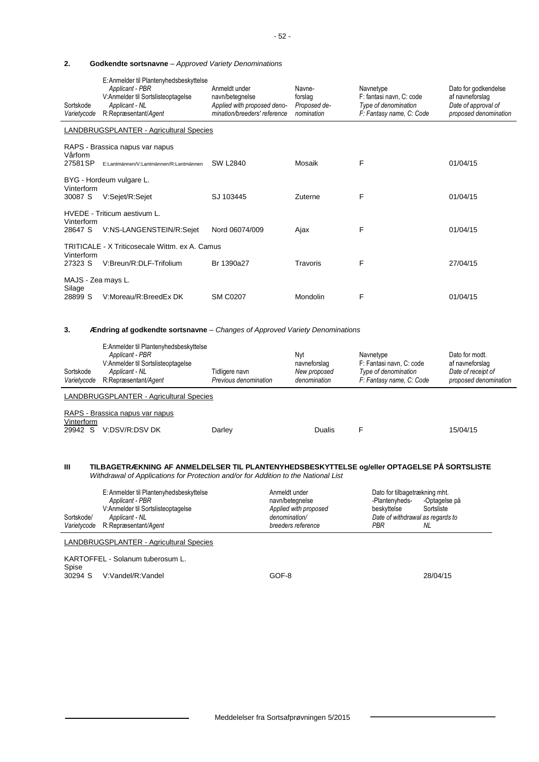#### **2. Godkendte sortsnavne** – *Approved Variety Denominations*

| Sortskode<br>Varietycode                       | E: Anmelder til Plantenyhedsbeskyttelse<br>Applicant - PBR<br>V:Anmelder til Sortslisteoptagelse<br>Applicant - NL<br>R:Repræsentant/Agent | Anmeldt under<br>navn/betegnelse<br>Applied with proposed deno-<br>mination/breeders' reference | Navne-<br>forslag<br>Proposed de-<br>nomination | Navnetype<br>F: fantasi navn, C: code<br>Type of denomination<br>F: Fantasy name, C: Code | Dato for godkendelse<br>af navneforslag<br>Date of approval of<br>proposed denomination |
|------------------------------------------------|--------------------------------------------------------------------------------------------------------------------------------------------|-------------------------------------------------------------------------------------------------|-------------------------------------------------|-------------------------------------------------------------------------------------------|-----------------------------------------------------------------------------------------|
|                                                | LANDBRUGSPLANTER - Agricultural Species                                                                                                    |                                                                                                 |                                                 |                                                                                           |                                                                                         |
| Vårform                                        | RAPS - Brassica napus var napus                                                                                                            |                                                                                                 |                                                 |                                                                                           |                                                                                         |
| 27581SP                                        | E:Lantmännen/V:Lantmännen/R:Lantmännen                                                                                                     | <b>SW L2840</b>                                                                                 | Mosaik                                          | F                                                                                         | 01/04/15                                                                                |
|                                                | BYG - Hordeum vulgare L.                                                                                                                   |                                                                                                 |                                                 |                                                                                           |                                                                                         |
| Vinterform<br>30087 S                          | V:Sejet/R:Sejet                                                                                                                            | SJ 103445                                                                                       | Zuterne                                         | F                                                                                         | 01/04/15                                                                                |
|                                                | HVEDE - Triticum aestivum L.                                                                                                               |                                                                                                 |                                                 |                                                                                           |                                                                                         |
| Vinterform<br>28647 S                          | V:NS-LANGENSTEIN/R:Sejet                                                                                                                   | Nord 06074/009                                                                                  | Ajax                                            | F                                                                                         | 01/04/15                                                                                |
| TRITICALE - X Triticosecale Wittm, ex A. Camus |                                                                                                                                            |                                                                                                 |                                                 |                                                                                           |                                                                                         |
| Vinterform<br>27323 S                          | V:Breun/R:DLF-Trifolium                                                                                                                    | Br 1390a27                                                                                      | Travoris                                        | F                                                                                         | 27/04/15                                                                                |
| MAJS - Zea mays L.                             |                                                                                                                                            |                                                                                                 |                                                 |                                                                                           |                                                                                         |
| Silage<br>28899 S                              | V:Moreau/R:BreedEx DK                                                                                                                      | <b>SM C0207</b>                                                                                 | Mondolin                                        | F                                                                                         | 01/04/15                                                                                |

#### **3. Ændring af godkendte sortsnavne** – *Changes of Approved Variety Denominations*

| Sortskode<br>Varietycode | E:Anmelder til Plantenyhedsbeskyttelse<br>Applicant - PBR<br>V:Anmelder til Sortslisteoptagelse<br>Applicant - NL<br>R:Repræsentant/Agent | Tidligere navn<br>Previous denomination | Nvt<br>navneforslag<br>New proposed<br>denomination | Navnetype<br>F: Fantasi navn. C: code<br>Type of denomination<br>F: Fantasy name, C: Code | Dato for modt.<br>af navneforslag<br>Date of receipt of<br>proposed denomination |  |  |
|--------------------------|-------------------------------------------------------------------------------------------------------------------------------------------|-----------------------------------------|-----------------------------------------------------|-------------------------------------------------------------------------------------------|----------------------------------------------------------------------------------|--|--|
|                          | <b>LANDBRUGSPLANTER - Agricultural Species</b>                                                                                            |                                         |                                                     |                                                                                           |                                                                                  |  |  |
| Vinterform<br>29942 S    | RAPS - Brassica napus var napus<br>V:DSV/R:DSV DK                                                                                         | Darley                                  | Dualis                                              |                                                                                           | 15/04/15                                                                         |  |  |

#### **III TILBAGETRÆKNING AF ANMELDELSER TIL PLANTENYHEDSBESKYTTELSE og/eller OPTAGELSE PÅ SORTSLISTE** *Withdrawal of Applications for Protection and/or for Addition to the National List*

| E: Anmelder til Plantenyhedsbeskyttelse<br>Dato for tilbagetrækning mht.<br>Anmeldt under<br>-Optagelse på<br>Applicant - PBR<br>navn/betegnelse<br>-Plantenyheds-<br>Sortsliste<br>V:Anmelder til Sortslisteoptagelse<br>Applied with proposed<br>beskyttelse<br>Date of withdrawal as regards to<br>Sortskode/<br>denomination/<br>Applicant - NL<br>Varietvcode<br>R:Repræsentant/Agent<br>breeders reference<br>PBR<br>NL |  |
|-------------------------------------------------------------------------------------------------------------------------------------------------------------------------------------------------------------------------------------------------------------------------------------------------------------------------------------------------------------------------------------------------------------------------------|--|
|-------------------------------------------------------------------------------------------------------------------------------------------------------------------------------------------------------------------------------------------------------------------------------------------------------------------------------------------------------------------------------------------------------------------------------|--|

LANDBRUGSPLANTER - Agricultural Species

KARTOFFEL - Solanum tuberosum L. Spise 30294 S V:Vandel/R:Vandel GOF-8 28/04/15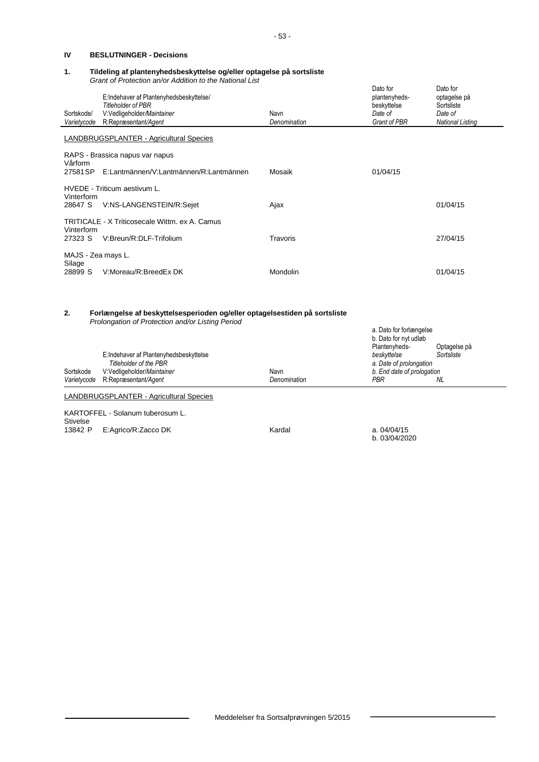## **IV BESLUTNINGER - Decisions**

#### **1. Tildeling af plantenyhedsbeskyttelse og/eller optagelse på sortsliste** *Grant of Protection an/or Addition to the National List*

| Sortskode/                   | E:Indehaver af Plantenyhedsbeskyttelse/<br><b>Titleholder of PBR</b><br>V:Vedligeholder/Maintainer                             | Navn                 | Dato for<br>plantenyheds-<br>beskyttelse<br>Date of   | Dato for<br>optagelse på<br>Sortsliste<br>Date of |
|------------------------------|--------------------------------------------------------------------------------------------------------------------------------|----------------------|-------------------------------------------------------|---------------------------------------------------|
| Varietycode                  | R:Repræsentant/Agent                                                                                                           | Denomination         | Grant of PBR                                          | <b>National Listing</b>                           |
|                              | LANDBRUGSPLANTER - Agricultural Species                                                                                        |                      |                                                       |                                                   |
| Vårform                      | RAPS - Brassica napus var napus                                                                                                |                      |                                                       |                                                   |
| 27581 SP                     | E:Lantmännen/V:Lantmännen/R:Lantmännen                                                                                         | Mosaik               | 01/04/15                                              |                                                   |
| Vinterform                   | HVEDE - Triticum aestivum L.                                                                                                   |                      |                                                       |                                                   |
| 28647 S                      | V:NS-LANGENSTEIN/R:Sejet                                                                                                       | Ajax                 |                                                       | 01/04/15                                          |
| Vinterform                   | TRITICALE - X Triticosecale Wittm. ex A. Camus                                                                                 |                      |                                                       |                                                   |
| 27323 S                      | V:Breun/R:DLF-Trifolium                                                                                                        | Travoris             |                                                       | 27/04/15                                          |
| MAJS - Zea mays L.<br>Silage |                                                                                                                                |                      |                                                       |                                                   |
| 28899 S                      | V:Moreau/R:BreedEx DK                                                                                                          | Mondolin             |                                                       | 01/04/15                                          |
| 2.                           | Forlængelse af beskyttelsesperioden og/eller optagelsestiden på sortsliste<br>Prolongation of Protection and/or Listing Period |                      | a. Dato for forlængelse                               |                                                   |
|                              | E:Indehaver af Plantenyhedsbeskyttelse                                                                                         |                      | b. Dato for nyt udløb<br>Plantenyheds-<br>beskyttelse | Optagelse på<br>Sortsliste                        |
|                              | <b>Titleholder of the PBR</b>                                                                                                  |                      | a. Date of prolongation                               |                                                   |
| Sortskode<br>Varietycode     | V:Vedligeholder/Maintainer<br>R:Repræsentant/Agent                                                                             | Navn<br>Denomination | b. End date of prologation<br>PBR                     | NL.                                               |
|                              | LANDBRUGSPLANTER - Agricultural Species                                                                                        |                      |                                                       |                                                   |

KARTOFFEL - Solanum tuberosum L. **Stivelse** 13842 P E:Agrico/R:Zacco DK **Kardal** A. 04/04/15/04/15

b. 03/04/2020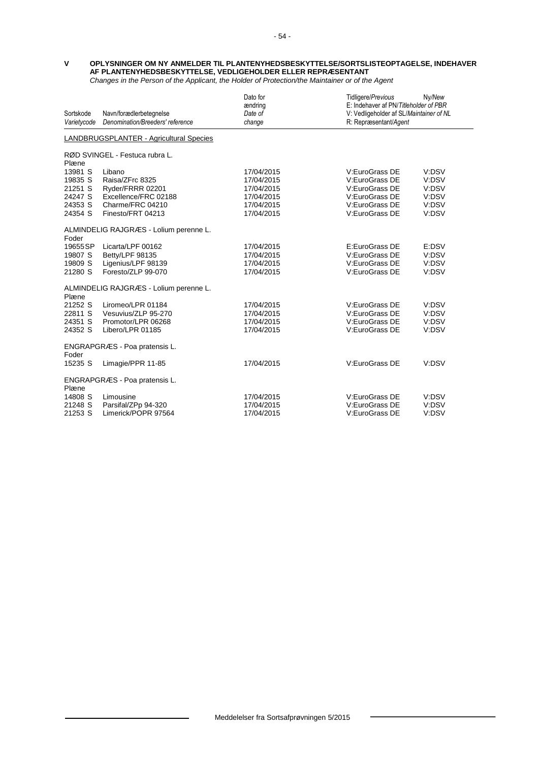#### **V OPLYSNINGER OM NY ANMELDER TIL PLANTENYHEDSBESKYTTELSE/SORTSLISTEOPTAGELSE, INDEHAVER AF PLANTENYHEDSBESKYTTELSE, VEDLIGEHOLDER ELLER REPRÆSENTANT** *Changes in the Person of the Applicant, the Holder of Protection/the Maintainer or of the Agent*

| Sortskode<br>Varietycode                | Navn/forædlerbetegnelse<br>Denomination/Breeders' reference | Dato for<br>ændring<br>Date of<br>change | Tidligere/Previous<br>E: Indehaver af PN/Titleholder of PBR<br>V: Vedligeholder af SL/Maintainer of NL<br>R: Repræsentant/Agent | Ny/New |  |  |  |
|-----------------------------------------|-------------------------------------------------------------|------------------------------------------|---------------------------------------------------------------------------------------------------------------------------------|--------|--|--|--|
| LANDBRUGSPLANTER - Agricultural Species |                                                             |                                          |                                                                                                                                 |        |  |  |  |
|                                         | RØD SVINGEL - Festuca rubra L.                              |                                          |                                                                                                                                 |        |  |  |  |
| Plæne                                   |                                                             |                                          |                                                                                                                                 |        |  |  |  |
| 13981 S                                 | Libano                                                      | 17/04/2015                               | V:EuroGrass DE                                                                                                                  | V:DSV  |  |  |  |
| 19835 S                                 | Raisa/ZFrc 8325                                             | 17/04/2015                               | V:EuroGrass DE                                                                                                                  | V:DSV  |  |  |  |
| 21251 S                                 | Ryder/FRRR 02201                                            | 17/04/2015                               | V:EuroGrass DE                                                                                                                  | V:DSV  |  |  |  |
| 24247 S                                 | Excellence/FRC 02188                                        | 17/04/2015                               | V:EuroGrass DE                                                                                                                  | V:DSV  |  |  |  |
| 24353 S                                 | Charme/FRC 04210                                            | 17/04/2015                               | V:EuroGrass DE                                                                                                                  | V:DSV  |  |  |  |
| 24354 S                                 | Finesto/FRT 04213                                           | 17/04/2015                               | V:EuroGrass DE                                                                                                                  | V:DSV  |  |  |  |
| Foder                                   | ALMINDELIG RAJGRÆS - Lolium perenne L.                      |                                          |                                                                                                                                 |        |  |  |  |
| 19655 SP                                | Licarta/LPF 00162                                           | 17/04/2015                               | E:EuroGrass DE                                                                                                                  | E:DSV  |  |  |  |
| 19807 S                                 | Betty/LPF 98135                                             | 17/04/2015                               | V:EuroGrass DE                                                                                                                  | V:DSV  |  |  |  |
| 19809 S                                 | Ligenius/LPF 98139                                          | 17/04/2015                               | V:EuroGrass DE                                                                                                                  | V:DSV  |  |  |  |
| 21280 S                                 | Foresto/ZLP 99-070                                          | 17/04/2015                               | V:EuroGrass DE                                                                                                                  | V:DSV  |  |  |  |
| Plæne                                   | ALMINDELIG RAJGRÆS - Lolium perenne L.                      |                                          |                                                                                                                                 |        |  |  |  |
| 21252 S                                 | Liromeo/LPR 01184                                           | 17/04/2015                               | V:EuroGrass DE                                                                                                                  | V:DSV  |  |  |  |
| 22811 S                                 | Vesuvius/ZLP 95-270                                         | 17/04/2015                               | V:EuroGrass DE                                                                                                                  | V:DSV  |  |  |  |
| 24351 S                                 | Promotor/LPR 06268                                          | 17/04/2015                               | V:EuroGrass DE                                                                                                                  | V:DSV  |  |  |  |
| 24352 S                                 | Libero/LPR 01185                                            | 17/04/2015                               | V:EuroGrass DE                                                                                                                  | V:DSV  |  |  |  |
| Foder                                   | ENGRAPGRÆS - Poa pratensis L.                               |                                          |                                                                                                                                 |        |  |  |  |
| 15235 S                                 | Limagie/PPR 11-85                                           | 17/04/2015                               | V:EuroGrass DE                                                                                                                  | V:DSV  |  |  |  |
| Plæne                                   | ENGRAPGRÆS - Poa pratensis L.                               |                                          |                                                                                                                                 |        |  |  |  |
| 14808 S                                 | Limousine                                                   | 17/04/2015                               | V:EuroGrass DE                                                                                                                  | V:DSV  |  |  |  |
| 21248 S                                 | Parsifal/ZPp 94-320                                         | 17/04/2015                               | V:EuroGrass DE                                                                                                                  | V:DSV  |  |  |  |
| 21253 S                                 | Limerick/POPR 97564                                         | 17/04/2015                               | V:EuroGrass DE                                                                                                                  | V:DSV  |  |  |  |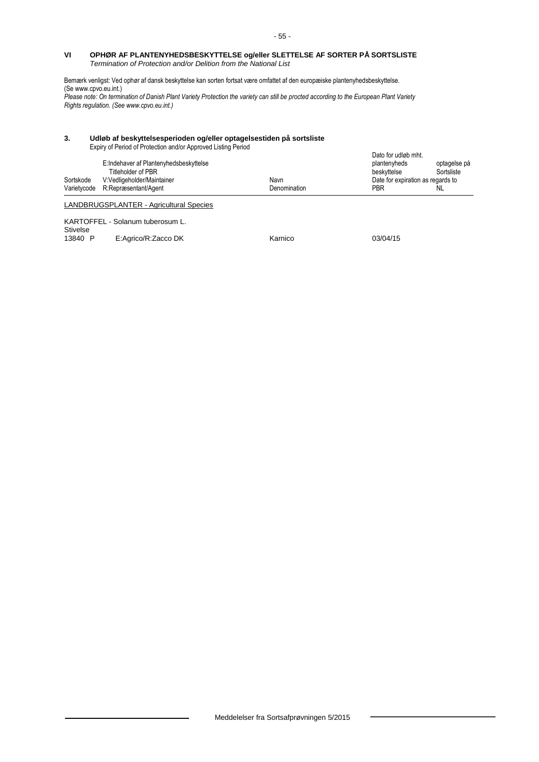#### **VI OPHØR AF PLANTENYHEDSBESKYTTELSE og/eller SLETTELSE AF SORTER PÅ SORTSLISTE** *Termination of Protection and/or Delition from the National List*

Bemærk venligst: Ved ophør af dansk beskyttelse kan sorten fortsat være omfattet af den europæiske plantenyhedsbeskyttelse. (S[e www.cpvo.eu.int.\)](http://www.cpvo.eu.int/) *Please note: On termination of Danish Plant Variety Protection the variety can still be procted according to the European Plant Variety* 

*Rights regulation. (See www.cpvo.eu.int.)*

#### **3. Udløb af beskyttelsesperioden og/eller optagelsestiden på sortsliste**

Expiry of Period of Protection and/or Approved Listing Period

|           |                                                              |              | Dato for udløb mht.               |                            |
|-----------|--------------------------------------------------------------|--------------|-----------------------------------|----------------------------|
|           | E:Indehaver af Plantenyhedsbeskyttelse<br>Titleholder of PBR |              | plantenyheds<br>beskyttelse       | optagelse på<br>Sortsliste |
| Sortskode | V:Vedligeholder/Maintainer                                   | Navn         | Date for expiration as regards to |                            |
|           | Varietycode R:Repræsentant/Agent                             | Denomination | PBR                               | NL.                        |
|           | LANDBRUGSPLANTER - Agricultural Species                      |              |                                   |                            |
|           | KARTOFFEL - Solanum tuberosum L.                             |              |                                   |                            |

Stivelse<br>13840 P E:Agrico/R:Zacco DK Karnico 63/04/15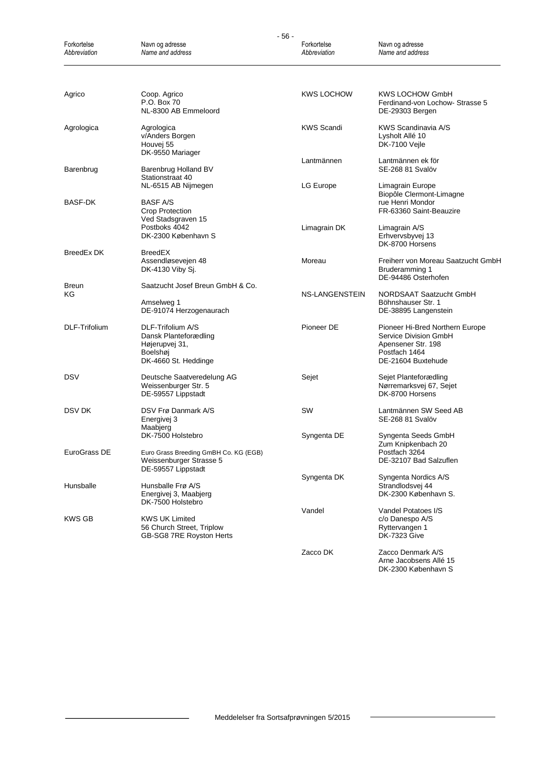| $-56-$                      |                                                                                                             |                             |                                                                                                                       |  |
|-----------------------------|-------------------------------------------------------------------------------------------------------------|-----------------------------|-----------------------------------------------------------------------------------------------------------------------|--|
| Forkortelse<br>Abbreviation | Navn og adresse<br>Name and address                                                                         | Forkortelse<br>Abbreviation | Navn og adresse<br>Name and address                                                                                   |  |
|                             |                                                                                                             |                             |                                                                                                                       |  |
| Agrico                      | Coop. Agrico<br>P.O. Box 70<br>NL-8300 AB Emmeloord                                                         | <b>KWS LOCHOW</b>           | KWS LOCHOW GmbH<br>Ferdinand-von Lochow- Strasse 5<br>DE-29303 Bergen                                                 |  |
| Agrologica                  | Agrologica<br>v/Anders Borgen<br>Houvej 55<br>DK-9550 Mariager                                              | <b>KWS Scandi</b>           | KWS Scandinavia A/S<br>Lysholt Allé 10<br>DK-7100 Vejle                                                               |  |
| Barenbrug                   | Barenbrug Holland BV<br>Stationstraat 40                                                                    | Lantmännen                  | Lantmännen ek för<br>SE-268 81 Svalöv                                                                                 |  |
| BASF-DK                     | NL-6515 AB Nijmegen<br><b>BASF A/S</b><br>Crop Protection                                                   | LG Europe                   | Limagrain Europe<br>Biopôle Clermont-Limagne<br>rue Henri Mondor<br>FR-63360 Saint-Beauzire                           |  |
|                             | Ved Stadsgraven 15<br>Postboks 4042<br>DK-2300 København S                                                  | Limagrain DK                | Limagrain A/S<br>Erhvervsbyvej 13<br>DK-8700 Horsens                                                                  |  |
| BreedEx DK                  | <b>BreedEX</b><br>Assendløsevejen 48<br>DK-4130 Viby Sj.                                                    | Moreau                      | Freiherr von Moreau Saatzucht GmbH<br>Bruderamming 1<br>DE-94486 Osterhofen                                           |  |
| Breun<br>ΚG                 | Saatzucht Josef Breun GmbH & Co.<br>Amselweg 1<br>DE-91074 Herzogenaurach                                   | NS-LANGENSTEIN              | NORDSAAT Saatzucht GmbH<br>Böhnshauser Str. 1<br>DE-38895 Langenstein                                                 |  |
| DLF-Trifolium               | DLF-Trifolium A/S<br>Dansk Planteforædling<br>Højerupvej 31,<br>Boelshøj<br>DK-4660 St. Heddinge            | Pioneer DE                  | Pioneer Hi-Bred Northern Europe<br>Service Division GmbH<br>Apensener Str. 198<br>Postfach 1464<br>DE-21604 Buxtehude |  |
| DSV                         | Deutsche Saatveredelung AG<br>Weissenburger Str. 5<br>DE-59557 Lippstadt                                    | Sejet                       | Sejet Planteforædling<br>Nørremarksvej 67, Sejet<br>DK-8700 Horsens                                                   |  |
| DSV DK                      | DSV Frø Danmark A/S<br>Energivej 3<br>Maabjerg                                                              | SW                          | Lantmännen SW Seed AB<br>SE-268 81 Svalöv                                                                             |  |
| EuroGrass DE                | DK-7500 Holstebro<br>Euro Grass Breeding GmBH Co. KG (EGB)<br>Weissenburger Strasse 5<br>DE-59557 Lippstadt | Syngenta DE                 | Syngenta Seeds GmbH<br>Zum Knipkenbach 20<br>Postfach 3264<br>DE-32107 Bad Salzuflen                                  |  |
| Hunsballe                   | Hunsballe Frø A/S<br>Energivej 3, Maabjerg<br>DK-7500 Holstebro                                             | Syngenta DK                 | Syngenta Nordics A/S<br>Strandlodsvej 44<br>DK-2300 København S.                                                      |  |
| KWS GB                      | <b>KWS UK Limited</b><br>56 Church Street, Triplow<br>GB-SG8 7RE Royston Herts                              | Vandel                      | Vandel Potatoes I/S<br>c/o Danespo A/S<br>Ryttervangen 1<br><b>DK-7323 Give</b>                                       |  |
|                             |                                                                                                             | Zacco DK                    | Zacco Denmark A/S<br>Arne Jacobsens Allé 15<br>DK-2300 København S                                                    |  |

 $\overline{\phantom{0}}$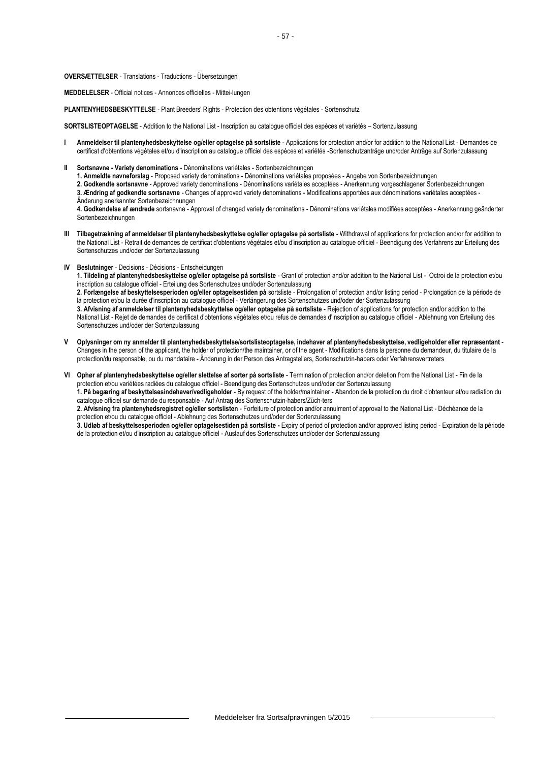**OVERSÆTTELSER** - Translations - Traductions - Übersetzungen

**MEDDELELSER** - Official notices - Annonces officielles - Mittei-lungen

**PLANTENYHEDSBESKYTTELSE** - Plant Breeders' Rights - Protection des obtentions végétales - Sortenschutz

**SORTSLISTEOPTAGELSE** - Addition to the National List - Inscription au catalogue officiel des espèces et variétés – Sortenzulassung

- **I Anmeldelser til plantenyhedsbeskyttelse og/eller optagelse på sortsliste** Applications for protection and/or for addition to the National List Demandes de certificat d'obtentions végétales et/ou d'inscription au catalogue officiel des espèces et variétés -Sortenschutzanträge und/oder Anträge auf Sortenzulassung
- **II Sortsnavne - Variety denominations** Dénominations variétales Sortenbezeichnungen

**1. Anmeldte navneforslag** - Proposed variety denominations - Dénominations variétales proposées - Angabe von Sortenbezeichnungen

**2. Godkendte sortsnavne** - Approved variety denominations - Dénominations variétales acceptées - Anerkennung vorgeschlagener Sortenbezeichnungen **3. Ændring af godkendte sortsnavne** - Changes of approved variety denominations - Modifications apportées aux dénominations variétales acceptées - Änderung anerkannter Sortenbezeichnungen

**4. Godkendelse af ændrede** sortsnavne - Approval of changed variety denominations - Dénominations variétales modifiées acceptées - Anerkennung geänderter Sortenbezeichnungen

- **III Tilbagetrækning af anmeldelser til plantenyhedsbeskyttelse og/eller optagelse på sortsliste** Withdrawal of applications for protection and/or for addition to the National List - Retrait de demandes de certificat d'obtentions végétales et/ou d'inscription au catalogue officiel - Beendigung des Verfahrens zur Erteilung des Sortenschutzes und/oder der Sortenzulassung
- **IV Beslutninger** Decisions Décisions Entscheidungen

**1. Tildeling af plantenyhedsbeskyttelse og/eller optagelse på sortsliste** - Grant of protection and/or addition to the National List - Octroi de la protection et/ou inscription au catalogue officiel - Erteilung des Sortenschutzes und/oder Sortenzulassung

**2. Forlængelse af beskyttelsesperioden og/eller optagelsestiden på** sortsliste - Prolongation of protection and/or listing period - Prolongation de la période de la protection et/ou la durée d'inscription au catalogue officiel - Verlängerung des Sortenschutzes und/oder der Sortenzulassung

**3. Afvisning af anmeldelser til plantenyhedsbeskyttelse og/eller optagelse på sortsliste -** Rejection of applications for protection and/or addition to the National List - Rejet de demandes de certificat d'obtentions végétales et/ou refus de demandes d'inscription au catalogue officiel - Ablehnung von Erteilung des Sortenschutzes und/oder der Sortenzulassung

**V Oplysninger om ny anmelder til plantenyhedsbeskyttelse/sortslisteoptagelse, indehaver af plantenyhedsbeskyttelse, vedligeholder eller repræsentant** - Changes in the person of the applicant, the holder of protection/the maintainer, or of the agent - Modifications dans la personne du demandeur, du titulaire de la protection/du responsable, ou du mandataire - Änderung in der Person des Antragstellers, Sortenschutzin-habers oder Verfahrensvertreters

**VI Ophør af plantenyhedsbeskyttelse og/eller slettelse af sorter på sortsliste** - Termination of protection and/or deletion from the National List - Fin de la protection et/ou variétées radiées du catalogue officiel - Beendigung des Sortenschutzes und/oder der Sortenzulassung **1. På begæring af beskyttelsesindehaver/vedligeholder** - By request of the holder/maintainer - Abandon de la protection du droit d'obtenteur et/ou radiation du catalogue officiel sur demande du responsable - Auf Antrag des Sortenschutzin-habers/Züch-ters **2. Afvisning fra plantenyhedsregistret og/eller sortslisten** - Forfeiture of protection and/or annulment of approval to the National List - Déchéance de la protection et/ou du catalogue officiel - Ablehnung des Sortenschutzes und/oder der Sortenzulassung **3. Udløb af beskyttelsesperioden og/eller optagelsestiden på sortsliste -** Expiry of period of protection and/or approved listing period - Expiration de la période de la protection et/ou d'inscription au catalogue officiel - Auslauf des Sortenschutzes und/oder der Sortenzulassung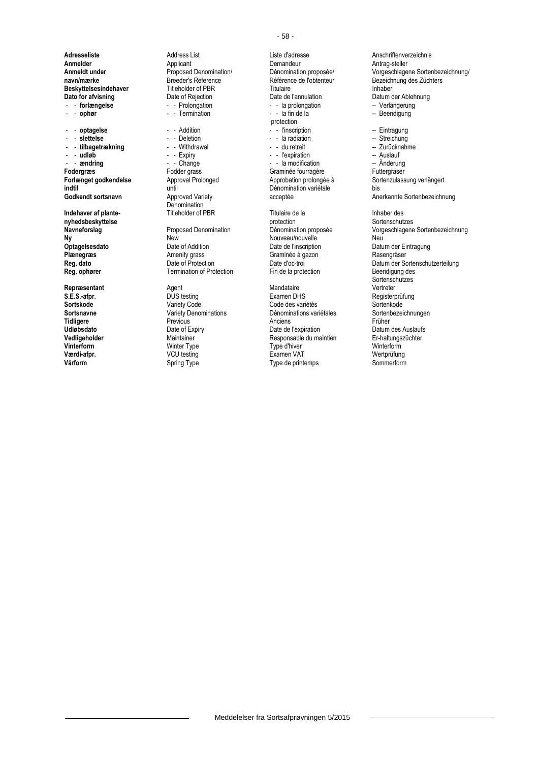- - **ophør** - - Termination - - la fin de la -- Beendigung

- andring - - Change - - la modification -- **andring**<br>
Fodergras -- Fodder grass -- Graminée fourragère **indtil variétie de l'acceptée**<br> **Godkendt sortsnavn**<br> **Approved Variety** Approved Variety acceptée

**nyhedsbeskyttelse** protection Sortenschutzes

**Adresseliste** Address List Liste d'adresse **Anschriftenverzeichnis**<br> **Annelder** Anschriftenverzeichnis Applicant **Anschriftenverzeichnis**<br>
Demandeur Antrag-steller **Anmelder** Applicant Applicant Demandeur **Demandeur Antrag-steller**<br> **Anmeldt under Antrag-steller** Proposed Denomination/ Dénomination proposée/ Vorgeschlage **Beskyttelsesindehaver** Titleholder of PBR<br>
Dato for afvisning<br>
Date of Rejection<br>
Date de l'annulation **Dato for afvisning** Date of Rejection Date de l'annulation Datum der Ablehnung<br> **Datio Fordengelse Date of Rejection** Date de l'annulation Datum der Ablehnung<br>
Date de la prolongation Date de la prolongation Date de l'a

Denomination<br>Titleholder of PBR

**Ny New** New New Nouveau/nouvelle Neu<br> **Optagelsesdato** Date of Addition Date of Neuvelle Date de l'inscription Datu **Optagelsesdato** Date of Addition Date de l'inscription Datum der Eintragung<br> **Plænegræs** Plate de Date of Addition Date de l'inscription Datum der Eintragung<br>
Date de Date de Date de Rasengräser **Plænegræs Amenity grass Graminée à gazon Regional de La Craminée à gazon Regional de La Craminée à gazon Regional Date d'oc-troi Termination of Protection** 

- - la prolongation **-- - - - - - - Verlängerung**<br>- - la fin de la **-- - - - - - - - - - - - - - - Beendigung** protection<br>- - l'inscription - - **optagelse** - - Addition - - l'inscription -- Eintragung - - **slettelse** - - Deletion - - la radiation -- Streichung - - **tilbagetrækning** - - Withdrawal - - du retrait -- Zurücknahme - **udløb** - - Expiry - - Expiration - Auslauf - Auslauf - Auslauf - Auslauf - Expiration - Auslauf - Auslauf - Auslauf - Anderung - Anderung - Anderung - Anderung - Anderung - Anderung - Anderung - Anderung - Anderung - An Fodder grass **Follow Craminée fourragère** Futtergräser<br>
Approval Prolonged **Funding Approbation** prolongée à Sortenzulass **Indehaver af plante-** Titleholder of PBR<br> **Inhaber design by The Contract PER**<br> **Inhaber design by Titulaire de la** Internation<br> **Inhaber design by Titulaire de la Inhaber des Sortenschutzes** 

**Repræsentant** Mandataire **Agent** Agent Agent Mandataire **Mandataire** Vertreter **S.E.S.-afpr.** DUS testing Examen DHS Registerprüfung Sortskode **Sortskode Mariety Code Conception Code des** variétés Sortenkode Sortenkode Code des variétés<br>
Sortsnavne **Sortenbezeichnungen** Variety Denominations **Dénominations** variétales Sortenbezeichnungen **Sortsnavne** Variety Denominations **Dénominations variétales** Sorten<br>
Tidligere **Communisties** Previous **Communisties** Anciens **Anciens** Früher **Tidligere** Previous Previous Anciens Anciens Anciens Früher **Udløbsdato Date of Expiry** Date of Expiry Date de l'expiration **Datum des Auslaufs**<br> **Cataligeholder Date of Expiration** Date of Besponsable du maintien **Date de Latiturgszüchter Date de Latiturgszüchter Vedligeholder** Maintainer Maintainer Responsable du maintien Er-haltungszüchter Maintainer Er-haltungszüchter<br>**1999** Winterform Winter Type Type d'hiver Maintainer Winterform **Vinterform** Winter Type Type d'hiver Winterform **Værdi-afpr.** VCU testing Examen VAT Wertprüfung **Vårform** Spring Type Type Sommerform Spring Type Sommerform Spring Type Sommerform Spring Type Sommerform Spring Type Sommerform Spring Type Sommerform Spring Type Sommerform Spring Type Spring Type Spring Type Spring Typ

**Proposed Denomination/** Dénomination proposée/ Vorgeschlagene Sortenbezeichnung/<br> **Breeder's Reference** Contention **Proposet Contention** Bezeichnung des Züchters **navn/mærke Breeder's Reference** Référence **Référence de l'obtenteur** Bezeichnung des Züchters<br> **Beskyttelsesindehaver** Titleholder of PBR Titulaire **Beskyttelsesindehaver** Annual Execution **Forlænget godkendelse** Approval Prolonged Approbation prolongée à Sortenzulassung verlängert<br> **Approbation prolongée** a Approval Prolonged<br>
Dénomination variétale bis Anerkannte Sortenbezeichnung **Navneforslag** Proposed Denomination Dénomination proposée Vorgeschlagene Sortenbezeichnung **Reg. dato** Date of Protection Date d'oc-troi Date d'oc-troi Datum der Sortenschutzerteilung<br> **Reg. ophører** Communistion of Protection Discover Ein de la protection Beendigung des

Sortenschutzes<br>Vertreter